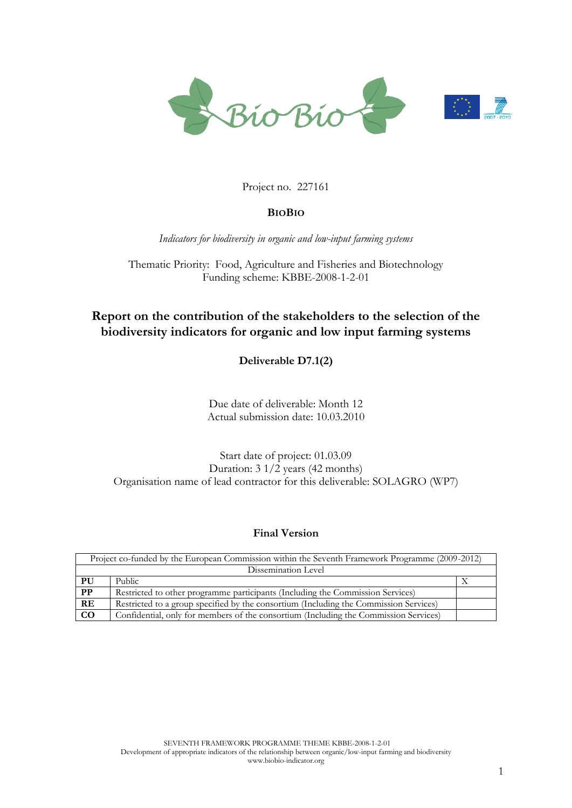

#### Project no. 227161

#### **BIOBIO**

*Indicators for biodiversity in organic and low-input farming systems*

Thematic Priority: Food, Agriculture and Fisheries and Biotechnology Funding scheme: KBBE-2008-1-2-01

## **Report on the contribution of the stakeholders to the selection of the biodiversity indicators for organic and low input farming systems**

**Deliverable D7.1(2)** 

Due date of deliverable: Month 12 Actual submission date: 10.03.2010

#### Start date of project: 01.03.09 Duration:  $3 \frac{1}{2}$  years (42 months) Organisation name of lead contractor for this deliverable: SOLAGRO (WP7)

#### **Final Version**

| Project co-funded by the European Commission within the Seventh Framework Programme (2009-2012) |                                                                                       |  |
|-------------------------------------------------------------------------------------------------|---------------------------------------------------------------------------------------|--|
| Dissemination Level                                                                             |                                                                                       |  |
| PU                                                                                              | Public                                                                                |  |
| $\overline{PP}$                                                                                 | Restricted to other programme participants (Including the Commission Services)        |  |
| RE                                                                                              | Restricted to a group specified by the consortium (Including the Commission Services) |  |
| $\overline{co}$                                                                                 | Confidential, only for members of the consortium (Including the Commission Services)  |  |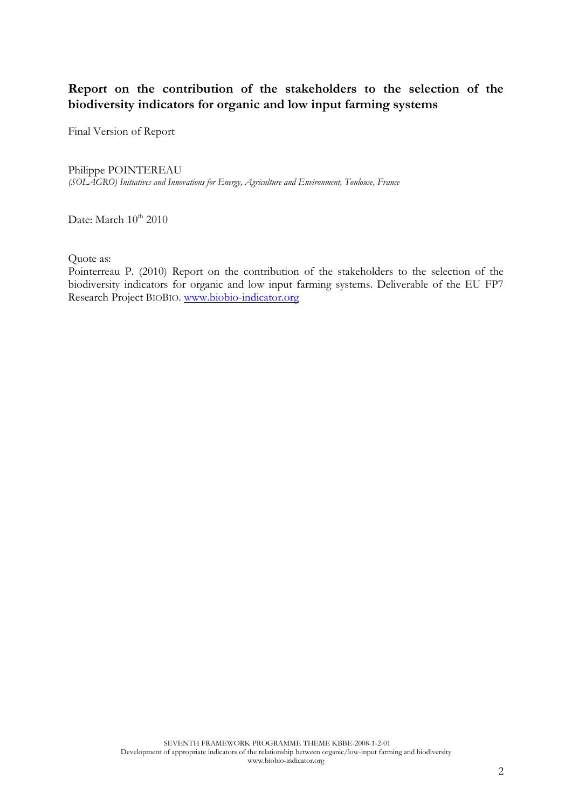## **Report on the contribution of the stakeholders to the selection of the biodiversity indicators for organic and low input farming systems**

Final Version of Report

#### Philippe POINTEREAU

*(SOLAGRO) Initiatives and Innovations for Energy, Agriculture and Environment, Toulouse, France*

Date: March  $10^{th}$  2010

Quote as:

Pointerreau P. (2010) Report on the contribution of the stakeholders to the selection of the biodiversity indicators for organic and low input farming systems. Deliverable of the EU FP7 Research Project BIOBIO. [www.biobio-indicator.org](http://www.biobio-indicator.org/)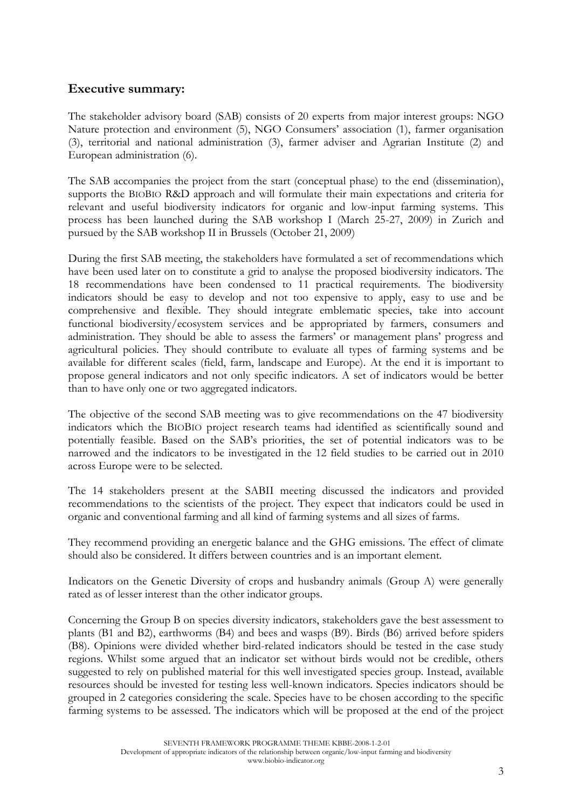## **Executive summary:**

The stakeholder advisory board (SAB) consists of 20 experts from major interest groups: NGO Nature protection and environment (5), NGO Consumers" association (1), farmer organisation (3), territorial and national administration (3), farmer adviser and Agrarian Institute (2) and European administration (6).

The SAB accompanies the project from the start (conceptual phase) to the end (dissemination), supports the BIOBIO R&D approach and will formulate their main expectations and criteria for relevant and useful biodiversity indicators for organic and low-input farming systems. This process has been launched during the SAB workshop I (March 25-27, 2009) in Zurich and pursued by the SAB workshop II in Brussels (October 21, 2009)

During the first SAB meeting, the stakeholders have formulated a set of recommendations which have been used later on to constitute a grid to analyse the proposed biodiversity indicators. The 18 recommendations have been condensed to 11 practical requirements. The biodiversity indicators should be easy to develop and not too expensive to apply, easy to use and be comprehensive and flexible. They should integrate emblematic species, take into account functional biodiversity/ecosystem services and be appropriated by farmers, consumers and administration. They should be able to assess the farmers" or management plans" progress and agricultural policies. They should contribute to evaluate all types of farming systems and be available for different scales (field, farm, landscape and Europe). At the end it is important to propose general indicators and not only specific indicators. A set of indicators would be better than to have only one or two aggregated indicators.

The objective of the second SAB meeting was to give recommendations on the 47 biodiversity indicators which the BIOBIO project research teams had identified as scientifically sound and potentially feasible. Based on the SAB"s priorities, the set of potential indicators was to be narrowed and the indicators to be investigated in the 12 field studies to be carried out in 2010 across Europe were to be selected.

The 14 stakeholders present at the SABII meeting discussed the indicators and provided recommendations to the scientists of the project. They expect that indicators could be used in organic and conventional farming and all kind of farming systems and all sizes of farms.

They recommend providing an energetic balance and the GHG emissions. The effect of climate should also be considered. It differs between countries and is an important element.

Indicators on the Genetic Diversity of crops and husbandry animals (Group A) were generally rated as of lesser interest than the other indicator groups.

Concerning the Group B on species diversity indicators, stakeholders gave the best assessment to plants (B1 and B2), earthworms (B4) and bees and wasps (B9). Birds (B6) arrived before spiders (B8). Opinions were divided whether bird-related indicators should be tested in the case study regions. Whilst some argued that an indicator set without birds would not be credible, others suggested to rely on published material for this well investigated species group. Instead, available resources should be invested for testing less well-known indicators. Species indicators should be grouped in 2 categories considering the scale. Species have to be chosen according to the specific farming systems to be assessed. The indicators which will be proposed at the end of the project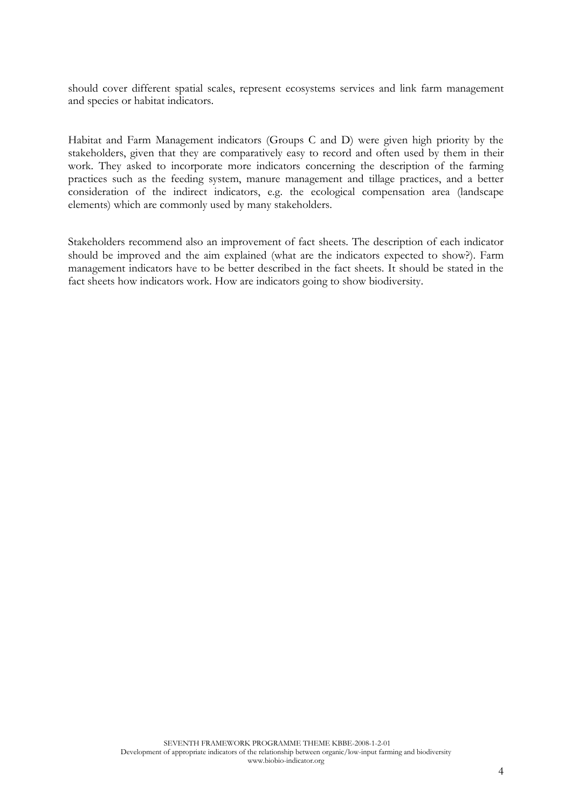should cover different spatial scales, represent ecosystems services and link farm management and species or habitat indicators.

Habitat and Farm Management indicators (Groups C and D) were given high priority by the stakeholders, given that they are comparatively easy to record and often used by them in their work. They asked to incorporate more indicators concerning the description of the farming practices such as the feeding system, manure management and tillage practices, and a better consideration of the indirect indicators, e.g. the ecological compensation area (landscape elements) which are commonly used by many stakeholders.

Stakeholders recommend also an improvement of fact sheets. The description of each indicator should be improved and the aim explained (what are the indicators expected to show?). Farm management indicators have to be better described in the fact sheets. It should be stated in the fact sheets how indicators work. How are indicators going to show biodiversity.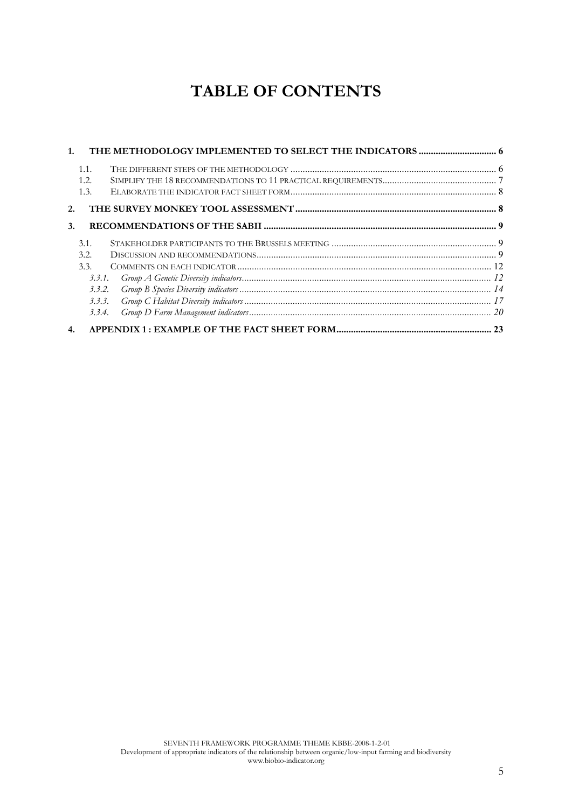# **TABLE OF CONTENTS**

| 1 <sup>1</sup>   |         |  |
|------------------|---------|--|
| 1.1.             |         |  |
| 1.2.             |         |  |
| 1.3.             |         |  |
| 2.               |         |  |
| $\mathbf{3}$ .   |         |  |
| 3.1.             |         |  |
| 3.2.             |         |  |
| 3.3.             |         |  |
|                  |         |  |
|                  | 3, 3, 2 |  |
|                  | 3.3.3.  |  |
|                  | 3.3.4.  |  |
| $\overline{4}$ . |         |  |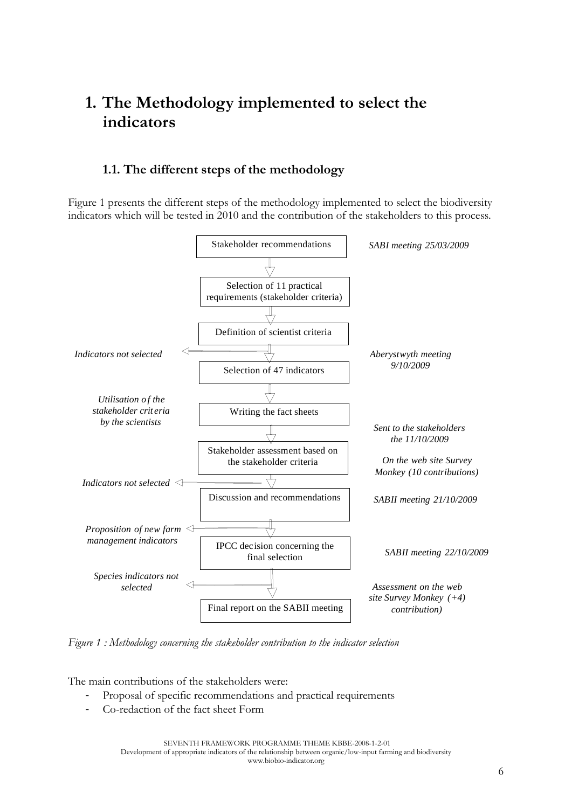## **1. The Methodology implemented to select the indicators**

## **1.1. The different steps of the methodology**

Figure 1 presents the different steps of the methodology implemented to select the biodiversity indicators which will be tested in 2010 and the contribution of the stakeholders to this process.



*Figure 1 : Methodology concerning the stakeholder contribution to the indicator selection*

The main contributions of the stakeholders were:

- Proposal of specific recommendations and practical requirements
- Co-redaction of the fact sheet Form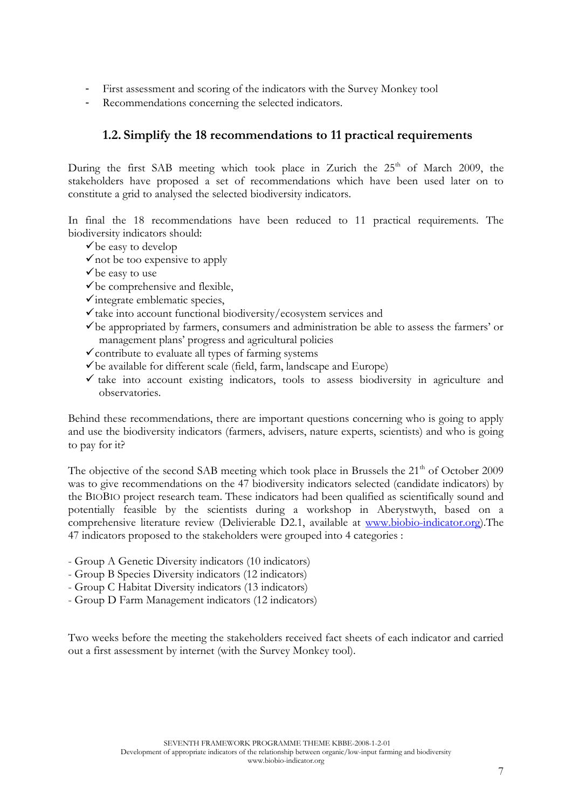- First assessment and scoring of the indicators with the Survey Monkey tool
- Recommendations concerning the selected indicators.

## **1.2. Simplify the 18 recommendations to 11 practical requirements**

During the first SAB meeting which took place in Zurich the  $25<sup>th</sup>$  of March 2009, the stakeholders have proposed a set of recommendations which have been used later on to constitute a grid to analysed the selected biodiversity indicators.

In final the 18 recommendations have been reduced to 11 practical requirements. The biodiversity indicators should:

- $\checkmark$  be easy to develop
- $\checkmark$  not be too expensive to apply
- $\checkmark$  be easy to use
- $\checkmark$  be comprehensive and flexible,
- $\checkmark$  integrate emblematic species,
- $\checkmark$  take into account functional biodiversity/ecosystem services and
- $\checkmark$  be appropriated by farmers, consumers and administration be able to assess the farmers' or management plans" progress and agricultural policies
- $\checkmark$  contribute to evaluate all types of farming systems
- $\checkmark$  be available for different scale (field, farm, landscape and Europe)
- $\checkmark$  take into account existing indicators, tools to assess biodiversity in agriculture and observatories.

Behind these recommendations, there are important questions concerning who is going to apply and use the biodiversity indicators (farmers, advisers, nature experts, scientists) and who is going to pay for it?

The objective of the second SAB meeting which took place in Brussels the  $21<sup>th</sup>$  of October 2009 was to give recommendations on the 47 biodiversity indicators selected (candidate indicators) by the BIOBIO project research team. These indicators had been qualified as scientifically sound and potentially feasible by the scientists during a workshop in Aberystwyth, based on a comprehensive literature review (Delivierable D2.1, available at [www.biobio-indicator.org\)](http://www.biobio-indicator.org/).The 47 indicators proposed to the stakeholders were grouped into 4 categories :

- Group A Genetic Diversity indicators (10 indicators)
- Group B Species Diversity indicators (12 indicators)
- Group C Habitat Diversity indicators (13 indicators)
- Group D Farm Management indicators (12 indicators)

Two weeks before the meeting the stakeholders received fact sheets of each indicator and carried out a first assessment by internet (with the Survey Monkey tool).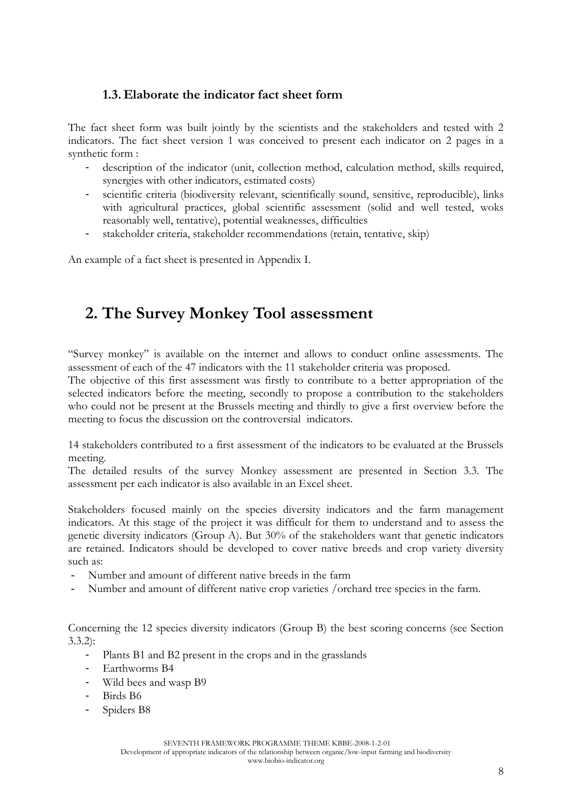## **1.3. Elaborate the indicator fact sheet form**

The fact sheet form was built jointly by the scientists and the stakeholders and tested with 2 indicators. The fact sheet version 1 was conceived to present each indicator on 2 pages in a synthetic form :

- description of the indicator (unit, collection method, calculation method, skills required, synergies with other indicators, estimated costs)
- scientific criteria (biodiversity relevant, scientifically sound, sensitive, reproducible), links with agricultural practices, global scientific assessment (solid and well tested, woks reasonably well, tentative), potential weaknesses, difficulties
- stakeholder criteria, stakeholder recommendations (retain, tentative, skip)

An example of a fact sheet is presented in Appendix I.

## **2. The Survey Monkey Tool assessment**

"Survey monkey" is available on the internet and allows to conduct online assessments. The assessment of each of the 47 indicators with the 11 stakeholder criteria was proposed.

The objective of this first assessment was firstly to contribute to a better appropriation of the selected indicators before the meeting, secondly to propose a contribution to the stakeholders who could not be present at the Brussels meeting and thirdly to give a first overview before the meeting to focus the discussion on the controversial indicators.

14 stakeholders contributed to a first assessment of the indicators to be evaluated at the Brussels meeting.

The detailed results of the survey Monkey assessment are presented in Section 3.3. The assessment per each indicator is also available in an Excel sheet.

Stakeholders focused mainly on the species diversity indicators and the farm management indicators. At this stage of the project it was difficult for them to understand and to assess the genetic diversity indicators (Group A). But 30% of the stakeholders want that genetic indicators are retained. Indicators should be developed to cover native breeds and crop variety diversity such as:

- Number and amount of different native breeds in the farm
- Number and amount of different native crop varieties /orchard tree species in the farm.

Concerning the 12 species diversity indicators (Group B) the best scoring concerns (see Section 3.3.2):

- Plants B1 and B2 present in the crops and in the grasslands
- Earthworms B4
- Wild bees and wasp B9
- Birds B6
- Spiders B8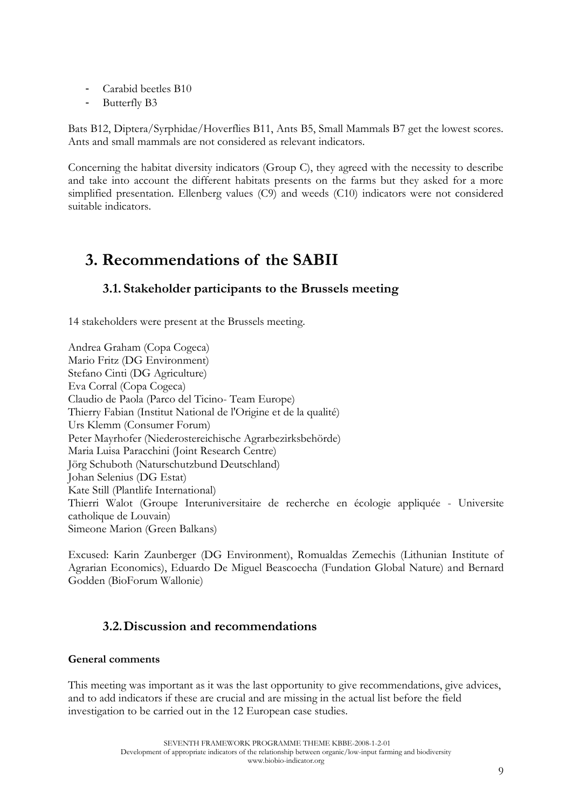- Carabid beetles B10
- Butterfly B3

Bats B12, Diptera/Syrphidae/Hoverflies B11, Ants B5, Small Mammals B7 get the lowest scores. Ants and small mammals are not considered as relevant indicators.

Concerning the habitat diversity indicators (Group C), they agreed with the necessity to describe and take into account the different habitats presents on the farms but they asked for a more simplified presentation. Ellenberg values (C9) and weeds (C10) indicators were not considered suitable indicators.

## **3. Recommendations of the SABII**

## **3.1. Stakeholder participants to the Brussels meeting**

14 stakeholders were present at the Brussels meeting.

Andrea Graham (Copa Cogeca) Mario Fritz (DG Environment) Stefano Cinti (DG Agriculture) Eva Corral (Copa Cogeca) Claudio de Paola (Parco del Ticino- Team Europe) Thierry Fabian (Institut National de l'Origine et de la qualité) Urs Klemm (Consumer Forum) Peter Mayrhofer (Niederostereichische Agrarbezirksbehörde) Maria Luisa Paracchini (Joint Research Centre) Jörg Schuboth (Naturschutzbund Deutschland) Johan Selenius (DG Estat) Kate Still (Plantlife International) Thierri Walot (Groupe Interuniversitaire de recherche en écologie appliquée - Universite catholique de Louvain) Simeone Marion (Green Balkans)

Excused: Karin Zaunberger (DG Environment), Romualdas Zemechis (Lithunian Institute of Agrarian Economics), Eduardo De Miguel Beascoecha (Fundation Global Nature) and Bernard Godden (BioForum Wallonie)

## **3.2.Discussion and recommendations**

### **General comments**

This meeting was important as it was the last opportunity to give recommendations, give advices, and to add indicators if these are crucial and are missing in the actual list before the field investigation to be carried out in the 12 European case studies.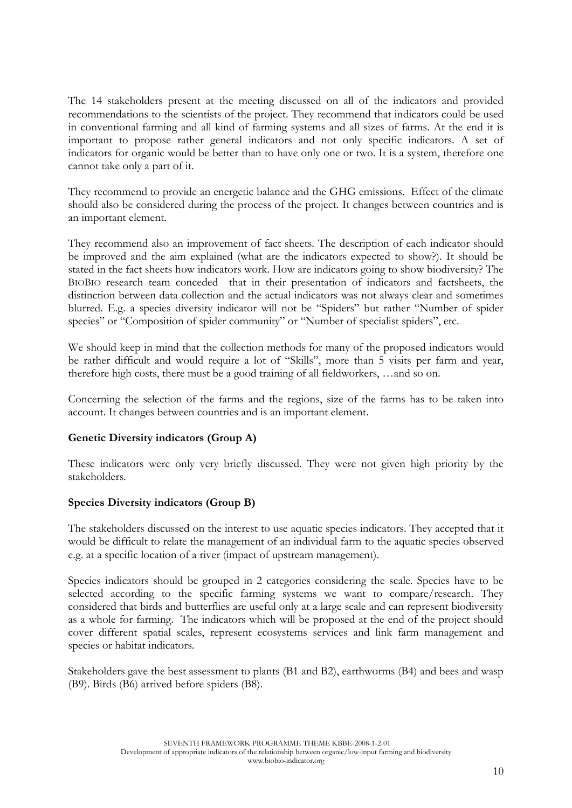The 14 stakeholders present at the meeting discussed on all of the indicators and provided recommendations to the scientists of the project. They recommend that indicators could be used in conventional farming and all kind of farming systems and all sizes of farms. At the end it is important to propose rather general indicators and not only specific indicators. A set of indicators for organic would be better than to have only one or two. It is a system, therefore one cannot take only a part of it.

They recommend to provide an energetic balance and the GHG emissions. Effect of the climate should also be considered during the process of the project. It changes between countries and is an important element.

They recommend also an improvement of fact sheets. The description of each indicator should be improved and the aim explained (what are the indicators expected to show?). It should be stated in the fact sheets how indicators work. How are indicators going to show biodiversity? The BIOBIO research team conceded that in their presentation of indicators and factsheets, the distinction between data collection and the actual indicators was not always clear and sometimes blurred. E.g. a species diversity indicator will not be "Spiders" but rather "Number of spider species" or "Composition of spider community" or "Number of specialist spiders", etc.

We should keep in mind that the collection methods for many of the proposed indicators would be rather difficult and would require a lot of "Skills", more than 5 visits per farm and year, therefore high costs, there must be a good training of all fieldworkers, …and so on.

Concerning the selection of the farms and the regions, size of the farms has to be taken into account. It changes between countries and is an important element.

### **Genetic Diversity indicators (Group A)**

These indicators were only very briefly discussed. They were not given high priority by the stakeholders.

### **Species Diversity indicators (Group B)**

The stakeholders discussed on the interest to use aquatic species indicators. They accepted that it would be difficult to relate the management of an individual farm to the aquatic species observed e.g. at a specific location of a river (impact of upstream management).

Species indicators should be grouped in 2 categories considering the scale. Species have to be selected according to the specific farming systems we want to compare/research. They considered that birds and butterflies are useful only at a large scale and can represent biodiversity as a whole for farming. The indicators which will be proposed at the end of the project should cover different spatial scales, represent ecosystems services and link farm management and species or habitat indicators.

Stakeholders gave the best assessment to plants (B1 and B2), earthworms (B4) and bees and wasp (B9). Birds (B6) arrived before spiders (B8).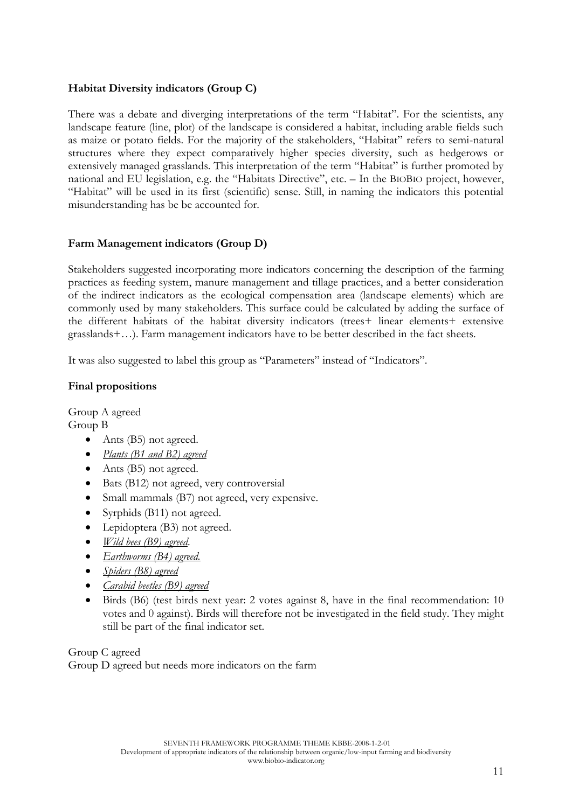## **Habitat Diversity indicators (Group C)**

There was a debate and diverging interpretations of the term "Habitat". For the scientists, any landscape feature (line, plot) of the landscape is considered a habitat, including arable fields such as maize or potato fields. For the majority of the stakeholders, "Habitat" refers to semi-natural structures where they expect comparatively higher species diversity, such as hedgerows or extensively managed grasslands. This interpretation of the term "Habitat" is further promoted by national and EU legislation, e.g. the "Habitats Directive", etc. – In the BIOBIO project, however, "Habitat" will be used in its first (scientific) sense. Still, in naming the indicators this potential misunderstanding has be be accounted for.

### **Farm Management indicators (Group D)**

Stakeholders suggested incorporating more indicators concerning the description of the farming practices as feeding system, manure management and tillage practices, and a better consideration of the indirect indicators as the ecological compensation area (landscape elements) which are commonly used by many stakeholders. This surface could be calculated by adding the surface of the different habitats of the habitat diversity indicators (trees+ linear elements+ extensive grasslands+…). Farm management indicators have to be better described in the fact sheets.

It was also suggested to label this group as "Parameters" instead of "Indicators".

### **Final propositions**

Group A agreed Group B

- Ants (B5) not agreed.
- *Plants (B1 and B2) agreed*
- Ants (B5) not agreed.
- Bats (B12) not agreed, very controversial
- Small mammals (B7) not agreed, very expensive.
- Syrphids (B11) not agreed.
- Lepidoptera (B3) not agreed.
- *Wild bees (B9) agreed*.
- *Earthworms (B4) agreed.*
- *Spiders (B8) agreed*
- *Carabid beetles (B9) agreed*
- Birds (B6) (test birds next year: 2 votes against 8, have in the final recommendation: 10 votes and 0 against). Birds will therefore not be investigated in the field study. They might still be part of the final indicator set.

Group C agreed Group D agreed but needs more indicators on the farm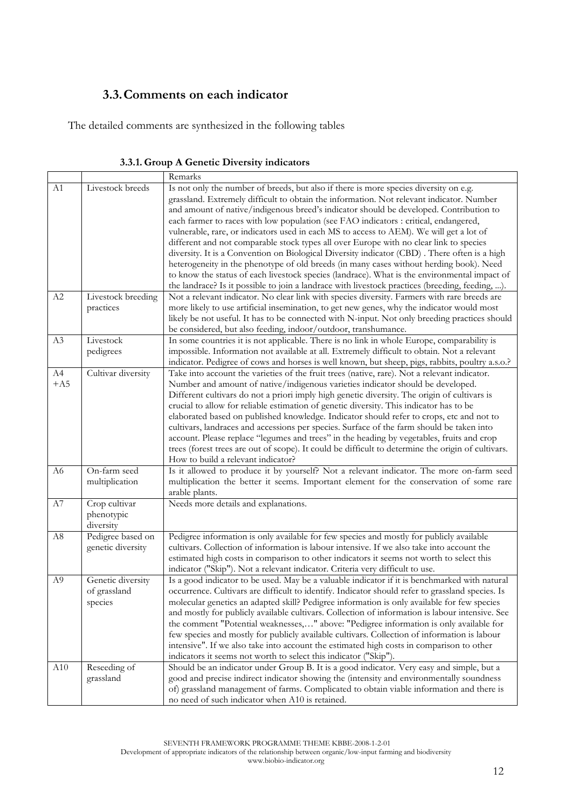## **3.3.Comments on each indicator**

The detailed comments are synthesized in the following tables

|                |                                        | Remarks                                                                                                                                                                                                                                                                                                                                                             |
|----------------|----------------------------------------|---------------------------------------------------------------------------------------------------------------------------------------------------------------------------------------------------------------------------------------------------------------------------------------------------------------------------------------------------------------------|
| A1             | Livestock breeds                       | Is not only the number of breeds, but also if there is more species diversity on e.g.<br>grassland. Extremely difficult to obtain the information. Not relevant indicator. Number<br>and amount of native/indigenous breed's indicator should be developed. Contribution to<br>each farmer to races with low population (see FAO indicators : critical, endangered, |
|                |                                        | vulnerable, rare, or indicators used in each MS to access to AEM). We will get a lot of<br>different and not comparable stock types all over Europe with no clear link to species                                                                                                                                                                                   |
|                |                                        | diversity. It is a Convention on Biological Diversity indicator (CBD). There often is a high                                                                                                                                                                                                                                                                        |
|                |                                        | heterogeneity in the phenotype of old breeds (in many cases without herding book). Need<br>to know the status of each livestock species (landrace). What is the environmental impact of                                                                                                                                                                             |
|                |                                        | the landrace? Is it possible to join a landrace with livestock practices (breeding, feeding, ).                                                                                                                                                                                                                                                                     |
| A2             | Livestock breeding                     | Not a relevant indicator. No clear link with species diversity. Farmers with rare breeds are                                                                                                                                                                                                                                                                        |
|                | practices                              | more likely to use artificial insemination, to get new genes, why the indicator would most                                                                                                                                                                                                                                                                          |
|                |                                        | likely be not useful. It has to be connected with N-input. Not only breeding practices should                                                                                                                                                                                                                                                                       |
|                |                                        | be considered, but also feeding, indoor/outdoor, transhumance.                                                                                                                                                                                                                                                                                                      |
| A3             | Livestock                              | In some countries it is not applicable. There is no link in whole Europe, comparability is                                                                                                                                                                                                                                                                          |
|                | pedigrees                              | impossible. Information not available at all. Extremely difficult to obtain. Not a relevant<br>indicator. Pedigree of cows and horses is well known, but sheep, pigs, rabbits, poultry a.s.o.?                                                                                                                                                                      |
| A4             | Cultivar diversity                     | Take into account the varieties of the fruit trees (native, rare). Not a relevant indicator.                                                                                                                                                                                                                                                                        |
| $+A5$          |                                        | Number and amount of native/indigenous varieties indicator should be developed.                                                                                                                                                                                                                                                                                     |
|                |                                        | Different cultivars do not a priori imply high genetic diversity. The origin of cultivars is                                                                                                                                                                                                                                                                        |
|                |                                        | crucial to allow for reliable estimation of genetic diversity. This indicator has to be                                                                                                                                                                                                                                                                             |
|                |                                        | elaborated based on published knowledge. Indicator should refer to crops, etc and not to                                                                                                                                                                                                                                                                            |
|                |                                        | cultivars, landraces and accessions per species. Surface of the farm should be taken into                                                                                                                                                                                                                                                                           |
|                |                                        | account. Please replace "legumes and trees" in the heading by vegetables, fruits and crop                                                                                                                                                                                                                                                                           |
|                |                                        | trees (forest trees are out of scope). It could be difficult to determine the origin of cultivars.<br>How to build a relevant indicator?                                                                                                                                                                                                                            |
| A6             | On-farm seed                           | Is it allowed to produce it by yourself? Not a relevant indicator. The more on-farm seed                                                                                                                                                                                                                                                                            |
|                | multiplication                         | multiplication the better it seems. Important element for the conservation of some rare                                                                                                                                                                                                                                                                             |
|                |                                        | arable plants.                                                                                                                                                                                                                                                                                                                                                      |
| A7             | Crop cultivar                          | Needs more details and explanations.                                                                                                                                                                                                                                                                                                                                |
|                | phenotypic                             |                                                                                                                                                                                                                                                                                                                                                                     |
|                | diversity                              |                                                                                                                                                                                                                                                                                                                                                                     |
| A <sub>8</sub> | Pedigree based on<br>genetic diversity | Pedigree information is only available for few species and mostly for publicly available<br>cultivars. Collection of information is labour intensive. If we also take into account the                                                                                                                                                                              |
|                |                                        | estimated high costs in comparison to other indicators it seems not worth to select this                                                                                                                                                                                                                                                                            |
|                |                                        | indicator ("Skip"). Not a relevant indicator. Criteria very difficult to use.                                                                                                                                                                                                                                                                                       |
| A <sub>9</sub> | Genetic diversity                      | Is a good indicator to be used. May be a valuable indicator if it is benchmarked with natural                                                                                                                                                                                                                                                                       |
|                | of grassland                           | occurrence. Cultivars are difficult to identify. Indicator should refer to grassland species. Is                                                                                                                                                                                                                                                                    |
|                | species                                | molecular genetics an adapted skill? Pedigree information is only available for few species                                                                                                                                                                                                                                                                         |
|                |                                        | and mostly for publicly available cultivars. Collection of information is labour intensive. See                                                                                                                                                                                                                                                                     |
|                |                                        | the comment "Potential weaknesses," above: "Pedigree information is only available for                                                                                                                                                                                                                                                                              |
|                |                                        | few species and mostly for publicly available cultivars. Collection of information is labour<br>intensive". If we also take into account the estimated high costs in comparison to other                                                                                                                                                                            |
|                |                                        | indicators it seems not worth to select this indicator ("Skip").                                                                                                                                                                                                                                                                                                    |
| A10            | Reseeding of                           | Should be an indicator under Group B. It is a good indicator. Very easy and simple, but a                                                                                                                                                                                                                                                                           |
|                | grassland                              | good and precise indirect indicator showing the (intensity and environmentally soundness                                                                                                                                                                                                                                                                            |
|                |                                        | of) grassland management of farms. Complicated to obtain viable information and there is                                                                                                                                                                                                                                                                            |
|                |                                        | no need of such indicator when A10 is retained.                                                                                                                                                                                                                                                                                                                     |

**3.3.1. Group A Genetic Diversity indicators**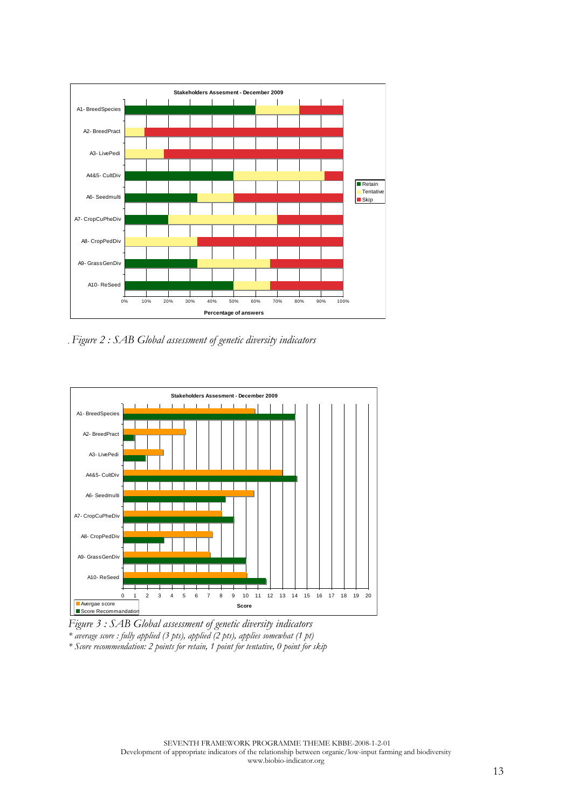

. Figure 2 : SAB Global assessment of genetic diversity indicators



*Figure 3 : SAB Global assessment of genetic diversity indicators \* average score : fully applied (3 pts), applied (2 pts), applies somewhat (1 pt) \* Score recommendation: 2 points for retain, 1 point for tentative, 0 point for skip*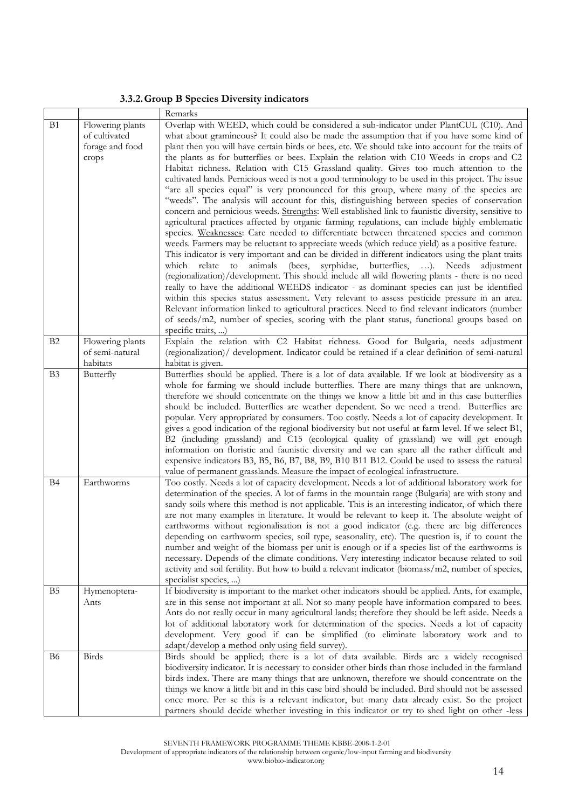### **3.3.2.Group B Species Diversity indicators**

|                       |                                                               | Remarks                                                                                                                                                                                                                                                                                                                                                                                                                                                                                                                                                                                                                                                                                                                                                                                                                                                                                                                                                                                                                                                                                                                                                                                                                                                                                                                                                                                                                                                                                                                                                                                                                                                                                                                                                                                                                                                                                   |  |  |
|-----------------------|---------------------------------------------------------------|-------------------------------------------------------------------------------------------------------------------------------------------------------------------------------------------------------------------------------------------------------------------------------------------------------------------------------------------------------------------------------------------------------------------------------------------------------------------------------------------------------------------------------------------------------------------------------------------------------------------------------------------------------------------------------------------------------------------------------------------------------------------------------------------------------------------------------------------------------------------------------------------------------------------------------------------------------------------------------------------------------------------------------------------------------------------------------------------------------------------------------------------------------------------------------------------------------------------------------------------------------------------------------------------------------------------------------------------------------------------------------------------------------------------------------------------------------------------------------------------------------------------------------------------------------------------------------------------------------------------------------------------------------------------------------------------------------------------------------------------------------------------------------------------------------------------------------------------------------------------------------------------|--|--|
| B1                    | Flowering plants<br>of cultivated<br>forage and food<br>crops | Overlap with WEED, which could be considered a sub-indicator under PlantCUL (C10). And<br>what about gramineous? It could also be made the assumption that if you have some kind of<br>plant then you will have certain birds or bees, etc. We should take into account for the traits of<br>the plants as for butterflies or bees. Explain the relation with C10 Weeds in crops and C2<br>Habitat richness. Relation with C15 Grassland quality. Gives too much attention to the<br>cultivated lands. Pernicious weed is not a good terminology to be used in this project. The issue<br>"are all species equal" is very pronounced for this group, where many of the species are<br>"weeds". The analysis will account for this, distinguishing between species of conservation<br>concern and pernicious weeds. Strengths: Well established link to faunistic diversity, sensitive to<br>agricultural practices affected by organic farming regulations, can include highly emblematic<br>species. Weaknesses: Care needed to differentiate between threatened species and common<br>weeds. Farmers may be reluctant to appreciate weeds (which reduce yield) as a positive feature.<br>This indicator is very important and can be divided in different indicators using the plant traits<br>syrphidae, butterflies, ). Needs adjustment<br>relate<br>to animals<br>(bees,<br>which<br>(regionalization)/development. This should include all wild flowering plants - there is no need<br>really to have the additional WEEDS indicator - as dominant species can just be identified<br>within this species status assessment. Very relevant to assess pesticide pressure in an area.<br>Relevant information linked to agricultural practices. Need to find relevant indicators (number<br>of seeds/m2, number of species, scoring with the plant status, functional groups based on |  |  |
|                       |                                                               | specific traits, )                                                                                                                                                                                                                                                                                                                                                                                                                                                                                                                                                                                                                                                                                                                                                                                                                                                                                                                                                                                                                                                                                                                                                                                                                                                                                                                                                                                                                                                                                                                                                                                                                                                                                                                                                                                                                                                                        |  |  |
| B <sub>2</sub>        | Flowering plants<br>of semi-natural                           | Explain the relation with C2 Habitat richness. Good for Bulgaria, needs adjustment<br>(regionalization)/ development. Indicator could be retained if a clear definition of semi-natural                                                                                                                                                                                                                                                                                                                                                                                                                                                                                                                                                                                                                                                                                                                                                                                                                                                                                                                                                                                                                                                                                                                                                                                                                                                                                                                                                                                                                                                                                                                                                                                                                                                                                                   |  |  |
|                       | habitats                                                      | habitat is given.                                                                                                                                                                                                                                                                                                                                                                                                                                                                                                                                                                                                                                                                                                                                                                                                                                                                                                                                                                                                                                                                                                                                                                                                                                                                                                                                                                                                                                                                                                                                                                                                                                                                                                                                                                                                                                                                         |  |  |
| <b>B</b> <sub>3</sub> | Butterfly                                                     | Butterflies should be applied. There is a lot of data available. If we look at biodiversity as a                                                                                                                                                                                                                                                                                                                                                                                                                                                                                                                                                                                                                                                                                                                                                                                                                                                                                                                                                                                                                                                                                                                                                                                                                                                                                                                                                                                                                                                                                                                                                                                                                                                                                                                                                                                          |  |  |
|                       |                                                               | whole for farming we should include butterflies. There are many things that are unknown,                                                                                                                                                                                                                                                                                                                                                                                                                                                                                                                                                                                                                                                                                                                                                                                                                                                                                                                                                                                                                                                                                                                                                                                                                                                                                                                                                                                                                                                                                                                                                                                                                                                                                                                                                                                                  |  |  |
|                       |                                                               | therefore we should concentrate on the things we know a little bit and in this case butterflies                                                                                                                                                                                                                                                                                                                                                                                                                                                                                                                                                                                                                                                                                                                                                                                                                                                                                                                                                                                                                                                                                                                                                                                                                                                                                                                                                                                                                                                                                                                                                                                                                                                                                                                                                                                           |  |  |
|                       |                                                               | should be included. Butterflies are weather dependent. So we need a trend. Butterflies are                                                                                                                                                                                                                                                                                                                                                                                                                                                                                                                                                                                                                                                                                                                                                                                                                                                                                                                                                                                                                                                                                                                                                                                                                                                                                                                                                                                                                                                                                                                                                                                                                                                                                                                                                                                                |  |  |
|                       |                                                               | popular. Very appropriated by consumers. Too costly. Needs a lot of capacity development. It<br>gives a good indication of the regional biodiversity but not useful at farm level. If we select B1,                                                                                                                                                                                                                                                                                                                                                                                                                                                                                                                                                                                                                                                                                                                                                                                                                                                                                                                                                                                                                                                                                                                                                                                                                                                                                                                                                                                                                                                                                                                                                                                                                                                                                       |  |  |
|                       |                                                               | B2 (including grassland) and C15 (ecological quality of grassland) we will get enough                                                                                                                                                                                                                                                                                                                                                                                                                                                                                                                                                                                                                                                                                                                                                                                                                                                                                                                                                                                                                                                                                                                                                                                                                                                                                                                                                                                                                                                                                                                                                                                                                                                                                                                                                                                                     |  |  |
|                       |                                                               | information on floristic and faunistic diversity and we can spare all the rather difficult and                                                                                                                                                                                                                                                                                                                                                                                                                                                                                                                                                                                                                                                                                                                                                                                                                                                                                                                                                                                                                                                                                                                                                                                                                                                                                                                                                                                                                                                                                                                                                                                                                                                                                                                                                                                            |  |  |
|                       |                                                               | expensive indicators B3, B5, B6, B7, B8, B9, B10 B11 B12. Could be used to assess the natural                                                                                                                                                                                                                                                                                                                                                                                                                                                                                                                                                                                                                                                                                                                                                                                                                                                                                                                                                                                                                                                                                                                                                                                                                                                                                                                                                                                                                                                                                                                                                                                                                                                                                                                                                                                             |  |  |
|                       |                                                               | value of permanent grasslands. Measure the impact of ecological infrastructure.                                                                                                                                                                                                                                                                                                                                                                                                                                                                                                                                                                                                                                                                                                                                                                                                                                                                                                                                                                                                                                                                                                                                                                                                                                                                                                                                                                                                                                                                                                                                                                                                                                                                                                                                                                                                           |  |  |
| <b>B</b> 4            | Earthworms                                                    | Too costly. Needs a lot of capacity development. Needs a lot of additional laboratory work for<br>determination of the species. A lot of farms in the mountain range (Bulgaria) are with stony and                                                                                                                                                                                                                                                                                                                                                                                                                                                                                                                                                                                                                                                                                                                                                                                                                                                                                                                                                                                                                                                                                                                                                                                                                                                                                                                                                                                                                                                                                                                                                                                                                                                                                        |  |  |
|                       |                                                               | sandy soils where this method is not applicable. This is an interesting indicator, of which there                                                                                                                                                                                                                                                                                                                                                                                                                                                                                                                                                                                                                                                                                                                                                                                                                                                                                                                                                                                                                                                                                                                                                                                                                                                                                                                                                                                                                                                                                                                                                                                                                                                                                                                                                                                         |  |  |
|                       |                                                               | are not many examples in literature. It would be relevant to keep it. The absolute weight of                                                                                                                                                                                                                                                                                                                                                                                                                                                                                                                                                                                                                                                                                                                                                                                                                                                                                                                                                                                                                                                                                                                                                                                                                                                                                                                                                                                                                                                                                                                                                                                                                                                                                                                                                                                              |  |  |
|                       |                                                               | earthworms without regionalisation is not a good indicator (e.g. there are big differences                                                                                                                                                                                                                                                                                                                                                                                                                                                                                                                                                                                                                                                                                                                                                                                                                                                                                                                                                                                                                                                                                                                                                                                                                                                                                                                                                                                                                                                                                                                                                                                                                                                                                                                                                                                                |  |  |
|                       |                                                               | depending on earthworm species, soil type, seasonality, etc). The question is, if to count the                                                                                                                                                                                                                                                                                                                                                                                                                                                                                                                                                                                                                                                                                                                                                                                                                                                                                                                                                                                                                                                                                                                                                                                                                                                                                                                                                                                                                                                                                                                                                                                                                                                                                                                                                                                            |  |  |
|                       |                                                               | number and weight of the biomass per unit is enough or if a species list of the earthworms is                                                                                                                                                                                                                                                                                                                                                                                                                                                                                                                                                                                                                                                                                                                                                                                                                                                                                                                                                                                                                                                                                                                                                                                                                                                                                                                                                                                                                                                                                                                                                                                                                                                                                                                                                                                             |  |  |
|                       |                                                               | necessary. Depends of the climate conditions. Very interesting indicator because related to soil<br>activity and soil fertility. But how to build a relevant indicator (biomass/m2, number of species,                                                                                                                                                                                                                                                                                                                                                                                                                                                                                                                                                                                                                                                                                                                                                                                                                                                                                                                                                                                                                                                                                                                                                                                                                                                                                                                                                                                                                                                                                                                                                                                                                                                                                    |  |  |
|                       |                                                               | specialist species, )                                                                                                                                                                                                                                                                                                                                                                                                                                                                                                                                                                                                                                                                                                                                                                                                                                                                                                                                                                                                                                                                                                                                                                                                                                                                                                                                                                                                                                                                                                                                                                                                                                                                                                                                                                                                                                                                     |  |  |
| B <sub>5</sub>        | Hymenoptera-                                                  | If biodiversity is important to the market other indicators should be applied. Ants, for example,                                                                                                                                                                                                                                                                                                                                                                                                                                                                                                                                                                                                                                                                                                                                                                                                                                                                                                                                                                                                                                                                                                                                                                                                                                                                                                                                                                                                                                                                                                                                                                                                                                                                                                                                                                                         |  |  |
|                       | Ants                                                          | are in this sense not important at all. Not so many people have information compared to bees.                                                                                                                                                                                                                                                                                                                                                                                                                                                                                                                                                                                                                                                                                                                                                                                                                                                                                                                                                                                                                                                                                                                                                                                                                                                                                                                                                                                                                                                                                                                                                                                                                                                                                                                                                                                             |  |  |
|                       |                                                               | Ants do not really occur in many agricultural lands; therefore they should be left aside. Needs a                                                                                                                                                                                                                                                                                                                                                                                                                                                                                                                                                                                                                                                                                                                                                                                                                                                                                                                                                                                                                                                                                                                                                                                                                                                                                                                                                                                                                                                                                                                                                                                                                                                                                                                                                                                         |  |  |
|                       |                                                               | lot of additional laboratory work for determination of the species. Needs a lot of capacity                                                                                                                                                                                                                                                                                                                                                                                                                                                                                                                                                                                                                                                                                                                                                                                                                                                                                                                                                                                                                                                                                                                                                                                                                                                                                                                                                                                                                                                                                                                                                                                                                                                                                                                                                                                               |  |  |
|                       |                                                               | development. Very good if can be simplified (to eliminate laboratory work and to<br>adapt/develop a method only using field survey).                                                                                                                                                                                                                                                                                                                                                                                                                                                                                                                                                                                                                                                                                                                                                                                                                                                                                                                                                                                                                                                                                                                                                                                                                                                                                                                                                                                                                                                                                                                                                                                                                                                                                                                                                      |  |  |
| B6                    | Birds                                                         | Birds should be applied; there is a lot of data available. Birds are a widely recognised                                                                                                                                                                                                                                                                                                                                                                                                                                                                                                                                                                                                                                                                                                                                                                                                                                                                                                                                                                                                                                                                                                                                                                                                                                                                                                                                                                                                                                                                                                                                                                                                                                                                                                                                                                                                  |  |  |
|                       |                                                               | biodiversity indicator. It is necessary to consider other birds than those included in the farmland                                                                                                                                                                                                                                                                                                                                                                                                                                                                                                                                                                                                                                                                                                                                                                                                                                                                                                                                                                                                                                                                                                                                                                                                                                                                                                                                                                                                                                                                                                                                                                                                                                                                                                                                                                                       |  |  |
|                       |                                                               | birds index. There are many things that are unknown, therefore we should concentrate on the                                                                                                                                                                                                                                                                                                                                                                                                                                                                                                                                                                                                                                                                                                                                                                                                                                                                                                                                                                                                                                                                                                                                                                                                                                                                                                                                                                                                                                                                                                                                                                                                                                                                                                                                                                                               |  |  |
|                       |                                                               | things we know a little bit and in this case bird should be included. Bird should not be assessed                                                                                                                                                                                                                                                                                                                                                                                                                                                                                                                                                                                                                                                                                                                                                                                                                                                                                                                                                                                                                                                                                                                                                                                                                                                                                                                                                                                                                                                                                                                                                                                                                                                                                                                                                                                         |  |  |
|                       |                                                               | once more. Per se this is a relevant indicator, but many data already exist. So the project                                                                                                                                                                                                                                                                                                                                                                                                                                                                                                                                                                                                                                                                                                                                                                                                                                                                                                                                                                                                                                                                                                                                                                                                                                                                                                                                                                                                                                                                                                                                                                                                                                                                                                                                                                                               |  |  |
|                       |                                                               | partners should decide whether investing in this indicator or try to shed light on other -less                                                                                                                                                                                                                                                                                                                                                                                                                                                                                                                                                                                                                                                                                                                                                                                                                                                                                                                                                                                                                                                                                                                                                                                                                                                                                                                                                                                                                                                                                                                                                                                                                                                                                                                                                                                            |  |  |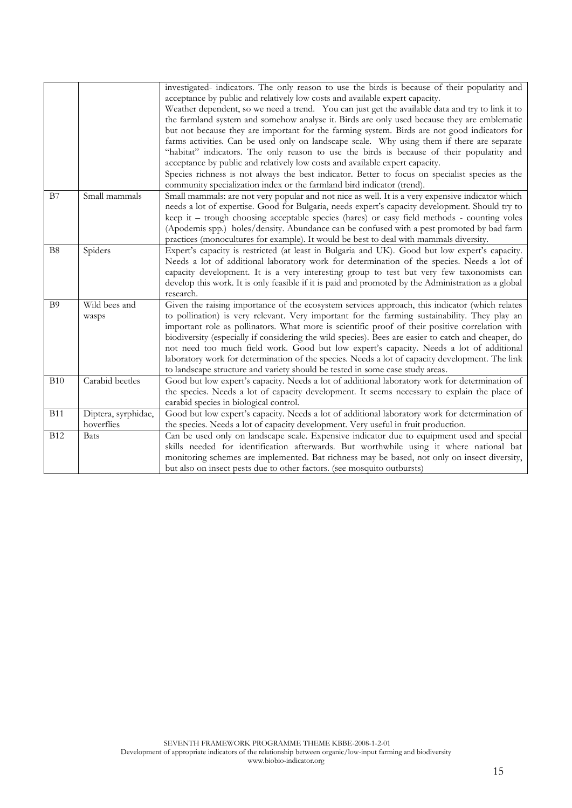|                |                                   | investigated- indicators. The only reason to use the birds is because of their popularity and<br>acceptance by public and relatively low costs and available expert capacity.<br>Weather dependent, so we need a trend. You can just get the available data and try to link it to<br>the farmland system and somehow analyse it. Birds are only used because they are emblematic<br>but not because they are important for the farming system. Birds are not good indicators for<br>farms activities. Can be used only on landscape scale. Why using them if there are separate<br>"habitat" indicators. The only reason to use the birds is because of their popularity and<br>acceptance by public and relatively low costs and available expert capacity.<br>Species richness is not always the best indicator. Better to focus on specialist species as the<br>community specialization index or the farmland bird indicator (trend). |
|----------------|-----------------------------------|-------------------------------------------------------------------------------------------------------------------------------------------------------------------------------------------------------------------------------------------------------------------------------------------------------------------------------------------------------------------------------------------------------------------------------------------------------------------------------------------------------------------------------------------------------------------------------------------------------------------------------------------------------------------------------------------------------------------------------------------------------------------------------------------------------------------------------------------------------------------------------------------------------------------------------------------|
| B7             | Small mammals                     | Small mammals: are not very popular and not nice as well. It is a very expensive indicator which<br>needs a lot of expertise. Good for Bulgaria, needs expert's capacity development. Should try to<br>keep it – trough choosing acceptable species (hares) or easy field methods - counting voles<br>(Apodemis spp.) holes/density. Abundance can be confused with a pest promoted by bad farm<br>practices (monocultures for example). It would be best to deal with mammals diversity.                                                                                                                                                                                                                                                                                                                                                                                                                                                 |
| B <sub>8</sub> | Spiders                           | Expert's capacity is restricted (at least in Bulgaria and UK). Good but low expert's capacity.<br>Needs a lot of additional laboratory work for determination of the species. Needs a lot of<br>capacity development. It is a very interesting group to test but very few taxonomists can<br>develop this work. It is only feasible if it is paid and promoted by the Administration as a global<br>research.                                                                                                                                                                                                                                                                                                                                                                                                                                                                                                                             |
| <b>B</b> 9     | Wild bees and<br>wasps            | Given the raising importance of the ecosystem services approach, this indicator (which relates<br>to pollination) is very relevant. Very important for the farming sustainability. They play an<br>important role as pollinators. What more is scientific proof of their positive correlation with<br>biodiversity (especially if considering the wild species). Bees are easier to catch and cheaper, do<br>not need too much field work. Good but low expert's capacity. Needs a lot of additional<br>laboratory work for determination of the species. Needs a lot of capacity development. The link<br>to landscape structure and variety should be tested in some case study areas.                                                                                                                                                                                                                                                  |
| <b>B</b> 10    | Carabid beetles                   | Good but low expert's capacity. Needs a lot of additional laboratory work for determination of<br>the species. Needs a lot of capacity development. It seems necessary to explain the place of<br>carabid species in biological control.                                                                                                                                                                                                                                                                                                                                                                                                                                                                                                                                                                                                                                                                                                  |
| <b>B11</b>     | Diptera, syrphidae,<br>hoverflies | Good but low expert's capacity. Needs a lot of additional laboratory work for determination of<br>the species. Needs a lot of capacity development. Very useful in fruit production.                                                                                                                                                                                                                                                                                                                                                                                                                                                                                                                                                                                                                                                                                                                                                      |
| <b>B12</b>     | <b>Bats</b>                       | Can be used only on landscape scale. Expensive indicator due to equipment used and special<br>skills needed for identification afterwards. But worthwhile using it where national bat<br>monitoring schemes are implemented. Bat richness may be based, not only on insect diversity,<br>but also on insect pests due to other factors. (see mosquito outbursts)                                                                                                                                                                                                                                                                                                                                                                                                                                                                                                                                                                          |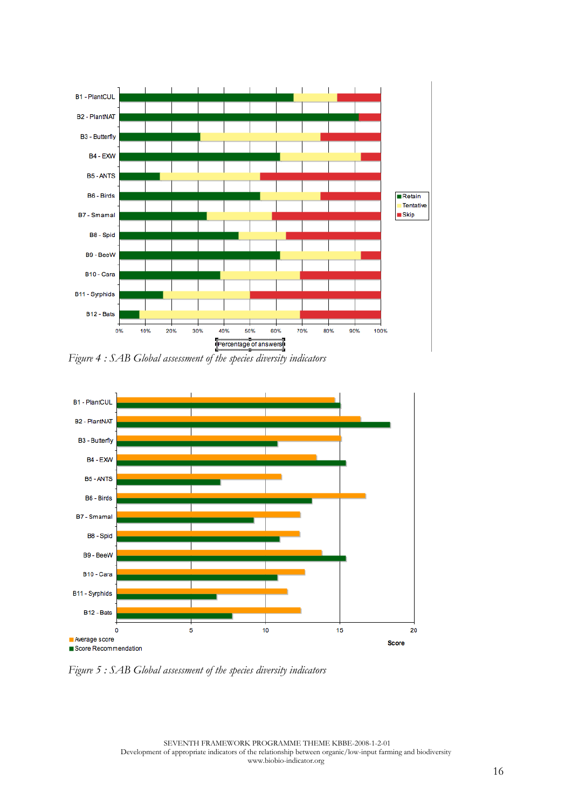

*Figure 4 : SAB Global assessment of the species diversity indicators* 



*Figure 5 : SAB Global assessment of the species diversity indicators*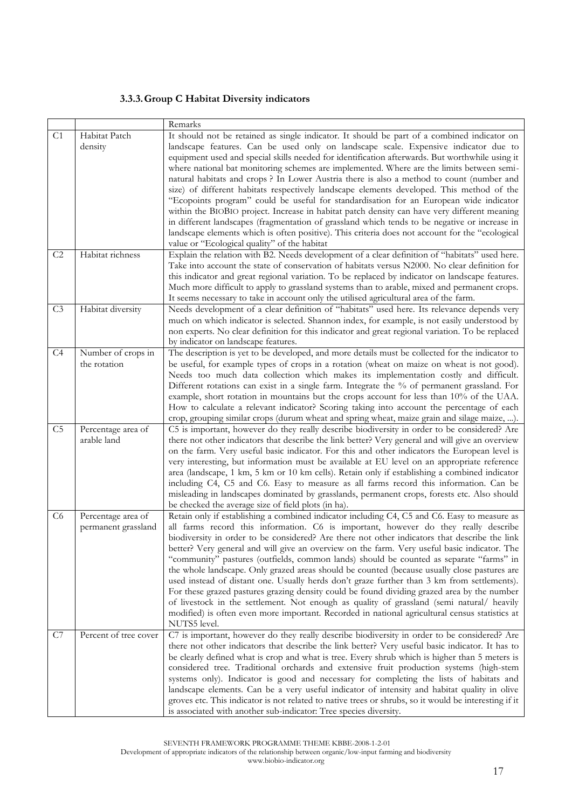### **3.3.3.Group C Habitat Diversity indicators**

|                |                                           | Remarks                                                                                                                                                                                                                                                                                                                                                                                                                                                                                                                                                                                                                                                                                                                                                                                                                                                                                                                                                                                                                    |
|----------------|-------------------------------------------|----------------------------------------------------------------------------------------------------------------------------------------------------------------------------------------------------------------------------------------------------------------------------------------------------------------------------------------------------------------------------------------------------------------------------------------------------------------------------------------------------------------------------------------------------------------------------------------------------------------------------------------------------------------------------------------------------------------------------------------------------------------------------------------------------------------------------------------------------------------------------------------------------------------------------------------------------------------------------------------------------------------------------|
| C <sub>1</sub> | Habitat Patch<br>density                  | It should not be retained as single indicator. It should be part of a combined indicator on<br>landscape features. Can be used only on landscape scale. Expensive indicator due to<br>equipment used and special skills needed for identification afterwards. But worthwhile using it<br>where national bat monitoring schemes are implemented. Where are the limits between semi-<br>natural habitats and crops ? In Lower Austria there is also a method to count (number and<br>size) of different habitats respectively landscape elements developed. This method of the<br>"Ecopoints program" could be useful for standardisation for an European wide indicator<br>within the BIOBIO project. Increase in habitat patch density can have very different meaning<br>in different landscapes (fragmentation of grassland which tends to be negative or increase in<br>landscape elements which is often positive). This criteria does not account for the "ecological<br>value or "Ecological quality" of the habitat |
| C2             | Habitat richness                          | Explain the relation with B2. Needs development of a clear definition of "habitats" used here.<br>Take into account the state of conservation of habitats versus N2000. No clear definition for<br>this indicator and great regional variation. To be replaced by indicator on landscape features.<br>Much more difficult to apply to grassland systems than to arable, mixed and permanent crops.<br>It seems necessary to take in account only the utilised agricultural area of the farm.                                                                                                                                                                                                                                                                                                                                                                                                                                                                                                                               |
| C <sub>3</sub> | Habitat diversity                         | Needs development of a clear definition of "habitats" used here. Its relevance depends very<br>much on which indicator is selected. Shannon index, for example, is not easily understood by<br>non experts. No clear definition for this indicator and great regional variation. To be replaced<br>by indicator on landscape features.                                                                                                                                                                                                                                                                                                                                                                                                                                                                                                                                                                                                                                                                                     |
| C4             | Number of crops in<br>the rotation        | The description is yet to be developed, and more details must be collected for the indicator to<br>be useful, for example types of crops in a rotation (wheat on maize on wheat is not good).<br>Needs too much data collection which makes its implementation costly and difficult.<br>Different rotations can exist in a single farm. Integrate the % of permanent grassland. For<br>example, short rotation in mountains but the crops account for less than 10% of the UAA.<br>How to calculate a relevant indicator? Scoring taking into account the percentage of each<br>crop, grouping similar crops (durum wheat and spring wheat, maize grain and silage maize, ).                                                                                                                                                                                                                                                                                                                                               |
| C5             | Percentage area of<br>arable land         | C5 is important, however do they really describe biodiversity in order to be considered? Are<br>there not other indicators that describe the link better? Very general and will give an overview<br>on the farm. Very useful basic indicator. For this and other indicators the European level is<br>very interesting, but information must be available at EU level on an appropriate reference<br>area (landscape, 1 km, 5 km or 10 km cells). Retain only if establishing a combined indicator<br>including C4, C5 and C6. Easy to measure as all farms record this information. Can be<br>misleading in landscapes dominated by grasslands, permanent crops, forests etc. Also should<br>be checked the average size of field plots (in ha).                                                                                                                                                                                                                                                                           |
| C <sub>6</sub> | Percentage area of<br>permanent grassland | Retain only if establishing a combined indicator including C4, C5 and C6. Easy to measure as<br>all farms record this information. C6 is important, however do they really describe<br>biodiversity in order to be considered? Are there not other indicators that describe the link<br>better? Very general and will give an overview on the farm. Very useful basic indicator. The<br>"community" pastures (outfields, common lands) should be counted as separate "farms" in<br>the whole landscape. Only grazed areas should be counted (because usually close pastures are<br>used instead of distant one. Usually herds don't graze further than 3 km from settlements).<br>For these grazed pastures grazing density could be found dividing grazed area by the number<br>of livestock in the settlement. Not enough as quality of grassland (semi-natural/ heavily<br>modified) is often even more important. Recorded in national agricultural census statistics at<br>NUTS5 level.                               |
| C7             | Percent of tree cover                     | C7 is important, however do they really describe biodiversity in order to be considered? Are<br>there not other indicators that describe the link better? Very useful basic indicator. It has to<br>be clearly defined what is crop and what is tree. Every shrub which is higher than 5 meters is<br>considered tree. Traditional orchards and extensive fruit production systems (high-stem<br>systems only). Indicator is good and necessary for completing the lists of habitats and<br>landscape elements. Can be a very useful indicator of intensity and habitat quality in olive<br>groves etc. This indicator is not related to native trees or shrubs, so it would be interesting if it<br>is associated with another sub-indicator: Tree species diversity.                                                                                                                                                                                                                                                     |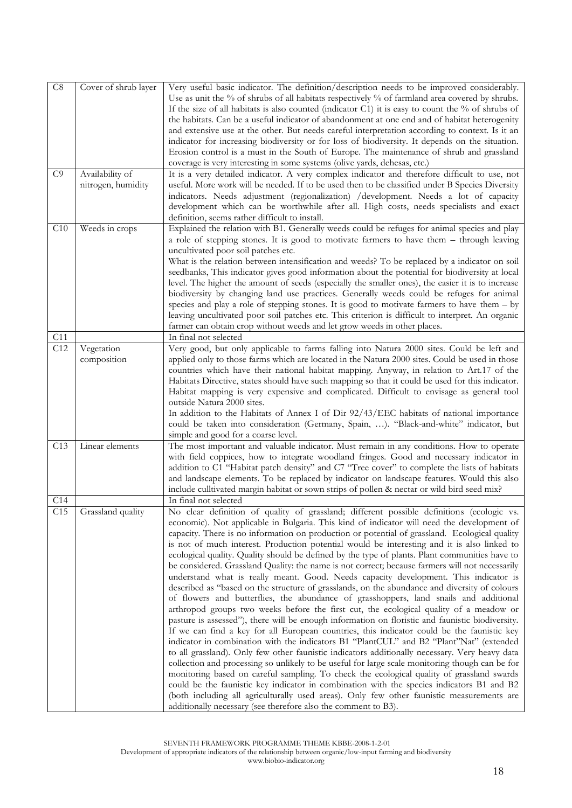| $\mbox{C}8$ | Cover of shrub layer | Very useful basic indicator. The definition/description needs to be improved considerably.          |
|-------------|----------------------|-----------------------------------------------------------------------------------------------------|
|             |                      | Use as unit the % of shrubs of all habitats respectively % of farmland area covered by shrubs.      |
|             |                      | If the size of all habitats is also counted (indicator C1) it is easy to count the $%$ of shrubs of |
|             |                      | the habitats. Can be a useful indicator of abandonment at one end and of habitat heterogenity       |
|             |                      | and extensive use at the other. But needs careful interpretation according to context. Is it an     |
|             |                      |                                                                                                     |
|             |                      | indicator for increasing biodiversity or for loss of biodiversity. It depends on the situation.     |
|             |                      | Erosion control is a must in the South of Europe. The maintenance of shrub and grassland            |
|             |                      | coverage is very interesting in some systems (olive yards, dehesas, etc.)                           |
| C9          | Availability of      | It is a very detailed indicator. A very complex indicator and therefore difficult to use, not       |
|             | nitrogen, humidity   | useful. More work will be needed. If to be used then to be classified under B Species Diversity     |
|             |                      | indicators. Needs adjustment (regionalization) /development. Needs a lot of capacity                |
|             |                      | development which can be worthwhile after all. High costs, needs specialists and exact              |
|             |                      | definition, seems rather difficult to install.                                                      |
| C10         | Weeds in crops       | Explained the relation with B1. Generally weeds could be refuges for animal species and play        |
|             |                      | a role of stepping stones. It is good to motivate farmers to have them - through leaving            |
|             |                      | uncultivated poor soil patches etc.                                                                 |
|             |                      | What is the relation between intensification and weeds? To be replaced by a indicator on soil       |
|             |                      | seedbanks, This indicator gives good information about the potential for biodiversity at local      |
|             |                      | level. The higher the amount of seeds (especially the smaller ones), the easier it is to increase   |
|             |                      | biodiversity by changing land use practices. Generally weeds could be refuges for animal            |
|             |                      | species and play a role of stepping stones. It is good to motivate farmers to have them $-$ by      |
|             |                      | leaving uncultivated poor soil patches etc. This criterion is difficult to interpret. An organic    |
|             |                      |                                                                                                     |
| C11         |                      | farmer can obtain crop without weeds and let grow weeds in other places.<br>In final not selected   |
| C12         |                      |                                                                                                     |
|             | Vegetation           | Very good, but only applicable to farms falling into Natura 2000 sites. Could be left and           |
|             | composition          | applied only to those farms which are located in the Natura 2000 sites. Could be used in those      |
|             |                      | countries which have their national habitat mapping. Anyway, in relation to Art.17 of the           |
|             |                      | Habitats Directive, states should have such mapping so that it could be used for this indicator.    |
|             |                      | Habitat mapping is very expensive and complicated. Difficult to envisage as general tool            |
|             |                      | outside Natura 2000 sites.                                                                          |
|             |                      | In addition to the Habitats of Annex I of Dir 92/43/EEC habitats of national importance             |
|             |                      | could be taken into consideration (Germany, Spain, ). "Black-and-white" indicator, but              |
|             |                      | simple and good for a coarse level.                                                                 |
| C13         | Linear elements      | The most important and valuable indicator. Must remain in any conditions. How to operate            |
|             |                      | with field coppices, how to integrate woodland fringes. Good and necessary indicator in             |
|             |                      | addition to C1 "Habitat patch density" and C7 "Tree cover" to complete the lists of habitats        |
|             |                      | and landscape elements. To be replaced by indicator on landscape features. Would this also          |
|             |                      | include culltivated margin habitat or sown strips of pollen & nectar or wild bird seed mix?         |
| C14         |                      | In final not selected                                                                               |
| C15         | Grassland quality    | No clear definition of quality of grassland; different possible definitions (ecologic vs.           |
|             |                      | economic). Not applicable in Bulgaria. This kind of indicator will need the development of          |
|             |                      | capacity. There is no information on production or potential of grassland. Ecological quality       |
|             |                      | is not of much interest. Production potential would be interesting and it is also linked to         |
|             |                      | ecological quality. Quality should be defined by the type of plants. Plant communities have to      |
|             |                      | be considered. Grassland Quality: the name is not correct; because farmers will not necessarily     |
|             |                      | understand what is really meant. Good. Needs capacity development. This indicator is                |
|             |                      | described as "based on the structure of grasslands, on the abundance and diversity of colours       |
|             |                      | of flowers and butterflies, the abundance of grasshoppers, land snails and additional               |
|             |                      | arthropod groups two weeks before the first cut, the ecological quality of a meadow or              |
|             |                      |                                                                                                     |
|             |                      | pasture is assessed"), there will be enough information on floristic and faunistic biodiversity.    |
|             |                      | If we can find a key for all European countries, this indicator could be the faunistic key          |
|             |                      | indicator in combination with the indicators B1 "PlantCUL" and B2 "Plant"Nat" (extended             |
|             |                      | to all grassland). Only few other faunistic indicators additionally necessary. Very heavy data      |
|             |                      | collection and processing so unlikely to be useful for large scale monitoring though can be for     |
|             |                      | monitoring based on careful sampling. To check the ecological quality of grassland swards           |
|             |                      | could be the faunistic key indicator in combination with the species indicators B1 and B2           |
|             |                      | (both including all agriculturally used areas). Only few other faunistic measurements are           |
|             |                      | additionally necessary (see therefore also the comment to B3).                                      |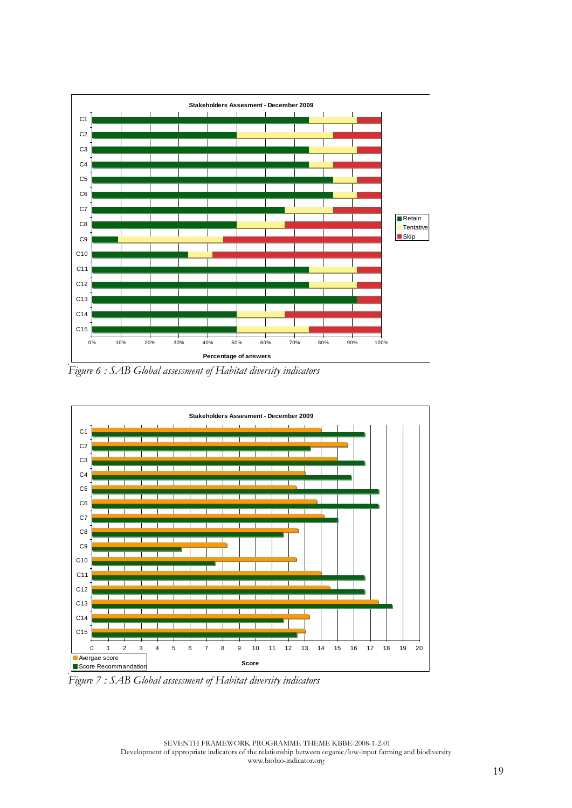

.<br>Figure 6 : SAB Global assessment of Habitat diversity indicators



.<br>Figure 7 : SAB Global assessment of Habitat diversity indicators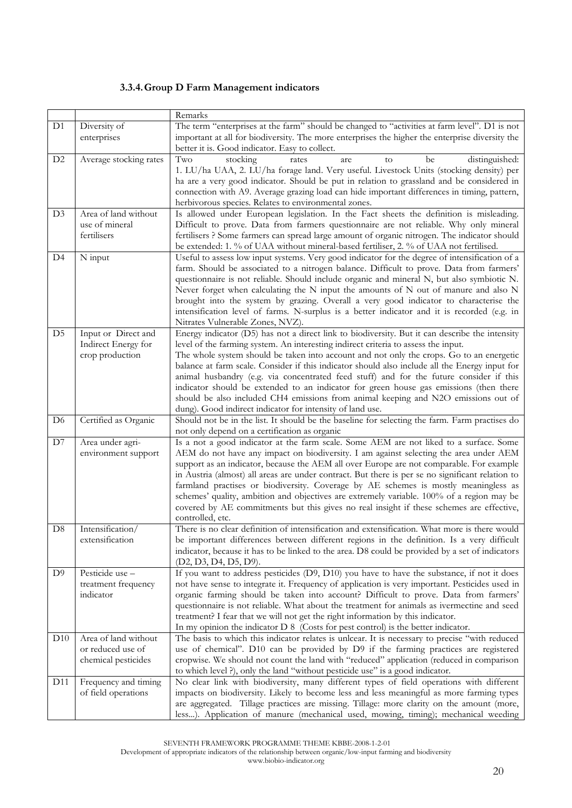#### **3.3.4.Group D Farm Management indicators**

|                 |                                                                  | Remarks                                                                                                                                                                                                                                                                                                                                                                                                                                                                                                                                                                                                                                                                                                                    |  |  |
|-----------------|------------------------------------------------------------------|----------------------------------------------------------------------------------------------------------------------------------------------------------------------------------------------------------------------------------------------------------------------------------------------------------------------------------------------------------------------------------------------------------------------------------------------------------------------------------------------------------------------------------------------------------------------------------------------------------------------------------------------------------------------------------------------------------------------------|--|--|
| D <sub>1</sub>  | Diversity of<br>enterprises                                      | The term "enterprises at the farm" should be changed to "activities at farm level". D1 is not<br>important at all for biodiversity. The more enterprises the higher the enterprise diversity the<br>better it is. Good indicator. Easy to collect.                                                                                                                                                                                                                                                                                                                                                                                                                                                                         |  |  |
| D <sub>2</sub>  | Average stocking rates                                           | Two<br>stocking<br>distinguished:<br>be<br>rates<br>are<br>to<br>1. LU/ha UAA, 2. LU/ha forage land. Very useful. Livestock Units (stocking density) per<br>ha are a very good indicator. Should be put in relation to grassland and be considered in<br>connection with A9. Average grazing load can hide important differences in timing, pattern,<br>herbivorous species. Relates to environmental zones.                                                                                                                                                                                                                                                                                                               |  |  |
| D <sub>3</sub>  | Area of land without<br>use of mineral<br>fertilisers            | Is allowed under European legislation. In the Fact sheets the definition is misleading.<br>Difficult to prove. Data from farmers questionnaire are not reliable. Why only mineral<br>fertilisers ? Some farmers can spread large amount of organic nitrogen. The indicator should<br>be extended: 1. % of UAA without mineral-based fertiliser, 2. % of UAA not fertilised.                                                                                                                                                                                                                                                                                                                                                |  |  |
| D <sub>4</sub>  | N input                                                          | Useful to assess low input systems. Very good indicator for the degree of intensification of a<br>farm. Should be associated to a nitrogen balance. Difficult to prove. Data from farmers'<br>questionnaire is not reliable. Should include organic and mineral N, but also symbiotic N.<br>Never forget when calculating the N input the amounts of N out of manure and also N<br>brought into the system by grazing. Overall a very good indicator to characterise the<br>intensification level of farms. N-surplus is a better indicator and it is recorded (e.g. in<br>Nitrates Vulnerable Zones, NVZ).                                                                                                                |  |  |
| D <sub>5</sub>  | Input or Direct and<br>Indirect Energy for<br>crop production    | Energy indicator (D5) has not a direct link to biodiversity. But it can describe the intensity<br>level of the farming system. An interesting indirect criteria to assess the input.<br>The whole system should be taken into account and not only the crops. Go to an energetic<br>balance at farm scale. Consider if this indicator should also include all the Energy input for<br>animal husbandry (e.g. via concentrated feed stuff) and for the future consider if this<br>indicator should be extended to an indicator for green house gas emissions (then there<br>should be also included CH4 emissions from animal keeping and N2O emissions out of<br>dung). Good indirect indicator for intensity of land use. |  |  |
| D <sub>6</sub>  | Certified as Organic                                             | Should not be in the list. It should be the baseline for selecting the farm. Farm practises do<br>not only depend on a certification as organic                                                                                                                                                                                                                                                                                                                                                                                                                                                                                                                                                                            |  |  |
| D7              | Area under agri-<br>environment support                          | Is a not a good indicator at the farm scale. Some AEM are not liked to a surface. Some<br>AEM do not have any impact on biodiversity. I am against selecting the area under AEM<br>support as an indicator, because the AEM all over Europe are not comparable. For example<br>in Austria (almost) all areas are under contract. But there is per se no significant relation to<br>farmland practises or biodiversity. Coverage by AE schemes is mostly meaningless as<br>schemes' quality, ambition and objectives are extremely variable. 100% of a region may be<br>covered by AE commitments but this gives no real insight if these schemes are effective,<br>controlled, etc.                                        |  |  |
| D8              | Intensification/<br>extensification                              | There is no clear definition of intensification and extensification. What more is there would<br>be important differences between different regions in the definition. Is a very difficult<br>indicator, because it has to be linked to the area. D8 could be provided by a set of indicators<br>(D2, D3, D4, D5, D9).                                                                                                                                                                                                                                                                                                                                                                                                     |  |  |
| D <sup>9</sup>  | Pesticide use -<br>treatment frequency<br>indicator              | If you want to address pesticides (D9, D10) you have to have the substance, if not it does<br>not have sense to integrate it. Frequency of application is very important. Pesticides used in<br>organic farming should be taken into account? Difficult to prove. Data from farmers'<br>questionnaire is not reliable. What about the treatment for animals as ivermectine and seed<br>treatment? I fear that we will not get the right information by this indicator.<br>In my opinion the indicator D 8 (Costs for pest control) is the better indicator.                                                                                                                                                                |  |  |
| D10             | Area of land without<br>or reduced use of<br>chemical pesticides | The basis to which this indicator relates is unlcear. It is necessary to precise "with reduced<br>use of chemical". D10 can be provided by D9 if the farming practices are registered<br>cropwise. We should not count the land with "reduced" application (reduced in comparison<br>to which level ?), only the land "without pesticide use" is a good indicator.                                                                                                                                                                                                                                                                                                                                                         |  |  |
| D <sub>11</sub> | Frequency and timing<br>of field operations                      | No clear link with biodiversity, many different types of field operations with different<br>impacts on biodiversity. Likely to become less and less meaningful as more farming types<br>are aggregated. Tillage practices are missing. Tillage: more clarity on the amount (more,<br>less). Application of manure (mechanical used, mowing, timing); mechanical weeding                                                                                                                                                                                                                                                                                                                                                    |  |  |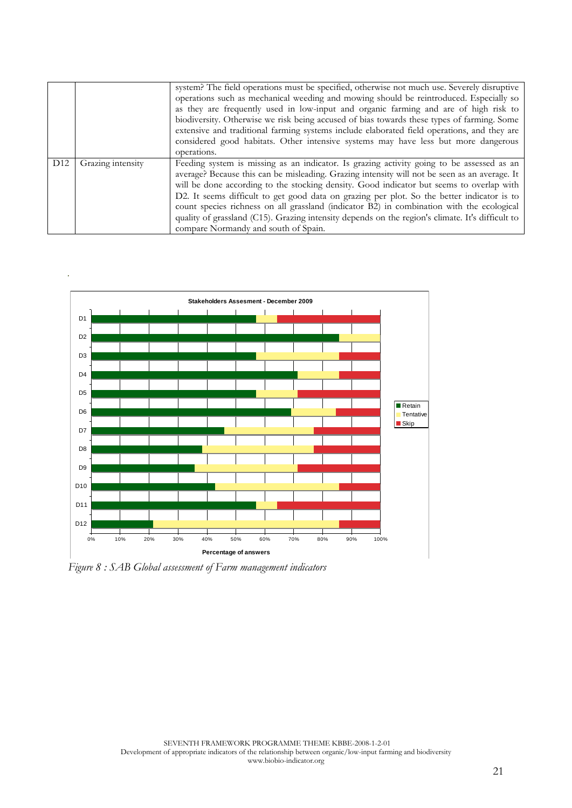|                 |                   | system? The field operations must be specified, otherwise not much use. Severely disruptive<br>operations such as mechanical weeding and mowing should be reintroduced. Especially so<br>as they are frequently used in low-input and organic farming and are of high risk to<br>biodiversity. Otherwise we risk being accused of bias towards these types of farming. Some<br>extensive and traditional farming systems include elaborated field operations, and they are<br>considered good habitats. Other intensive systems may have less but more dangerous<br>operations.                                               |  |  |
|-----------------|-------------------|-------------------------------------------------------------------------------------------------------------------------------------------------------------------------------------------------------------------------------------------------------------------------------------------------------------------------------------------------------------------------------------------------------------------------------------------------------------------------------------------------------------------------------------------------------------------------------------------------------------------------------|--|--|
| D <sub>12</sub> | Grazing intensity | Feeding system is missing as an indicator. Is grazing activity going to be assessed as an<br>average? Because this can be misleading. Grazing intensity will not be seen as an average. It<br>will be done according to the stocking density. Good indicator but seems to overlap with<br>D2. It seems difficult to get good data on grazing per plot. So the better indicator is to<br>count species richness on all grassland (indicator B2) in combination with the ecological<br>quality of grassland (C15). Grazing intensity depends on the region's climate. It's difficult to<br>compare Normandy and south of Spain. |  |  |



*Figure 8 : SAB Global assessment of Farm management indicators*

**Stakeholders Assesment - December 2009** 0% 10% 20%30%40%50%60%70%80%90%100% D12 D11D10D9D8D7D6D5D4D3D2D1 **Percentage of answers**Retain TentativeSkip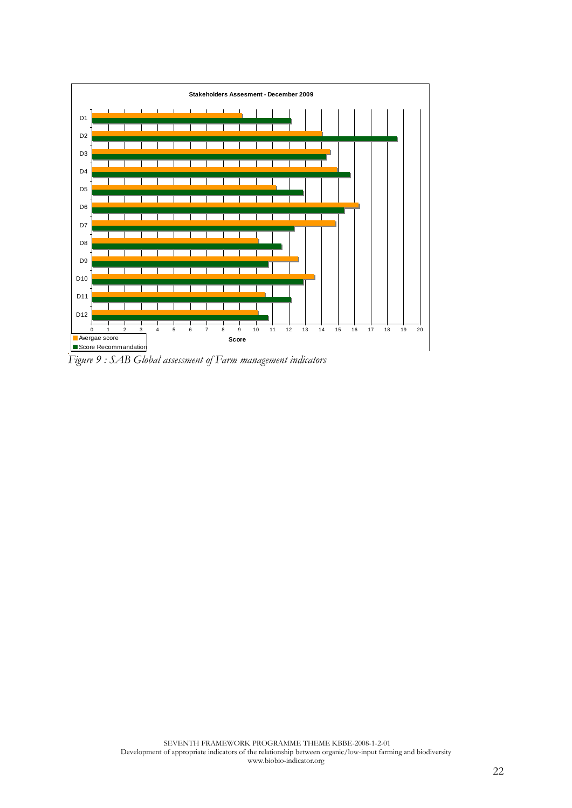

.<br>Figure 9 : SAB Global assessment of Farm management indicators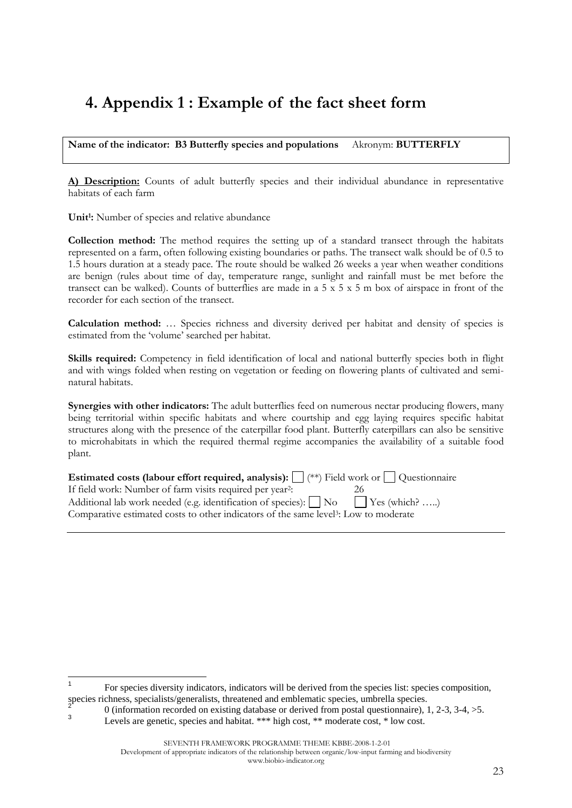## **4. Appendix 1 : Example of the fact sheet form**

**Name of the indicator: B3 Butterfly species and populations** Akronym: **BUTTERFLY**

**A) Description:** Counts of adult butterfly species and their individual abundance in representative habitats of each farm

**Unit<sup>1</sup> :** Number of species and relative abundance

 $\overline{a}$ 

3

**Collection method:** The method requires the setting up of a standard transect through the habitats represented on a farm, often following existing boundaries or paths. The transect walk should be of 0.5 to 1.5 hours duration at a steady pace. The route should be walked 26 weeks a year when weather conditions are benign (rules about time of day, temperature range, sunlight and rainfall must be met before the transect can be walked). Counts of butterflies are made in a 5 x 5 x 5 m box of airspace in front of the recorder for each section of the transect.

**Calculation method:** … Species richness and diversity derived per habitat and density of species is estimated from the "volume" searched per habitat.

**Skills required:** Competency in field identification of local and national butterfly species both in flight and with wings folded when resting on vegetation or feeding on flowering plants of cultivated and seminatural habitats.

**Synergies with other indicators:** The adult butterflies feed on numerous nectar producing flowers, many being territorial within specific habitats and where courtship and egg laying requires specific habitat structures along with the presence of the caterpillar food plant. Butterfly caterpillars can also be sensitive to microhabitats in which the required thermal regime accompanies the availability of a suitable food plant.

| Estimated costs (labour effort required, analysis): $\Box$ (**) Field work or $\Box$ Questionnaire |    |
|----------------------------------------------------------------------------------------------------|----|
| If field work: Number of farm visits required per year <sup>2</sup> :                              | Ζh |
| Additional lab work needed (e.g. identification of species): $\Box$ No $\Box$ Yes (which? )        |    |
| Comparative estimated costs to other indicators of the same level <sup>3</sup> : Low to moderate   |    |

Development of appropriate indicators of the relationship between organic/low-input farming and biodiversity

#### www.biobio-indicator.org

<sup>1</sup> For species diversity indicators, indicators will be derived from the species list: species composition, species richness, specialists/generalists, threatened and emblematic species, umbrella species.<br>
2<br>
2<br>
2<br>
2

<sup>0 (</sup>information recorded on existing database or derived from postal questionnaire), 1, 2-3, 3-4, >5.

Levels are genetic, species and habitat. \*\*\* high cost, \*\* moderate cost, \* low cost.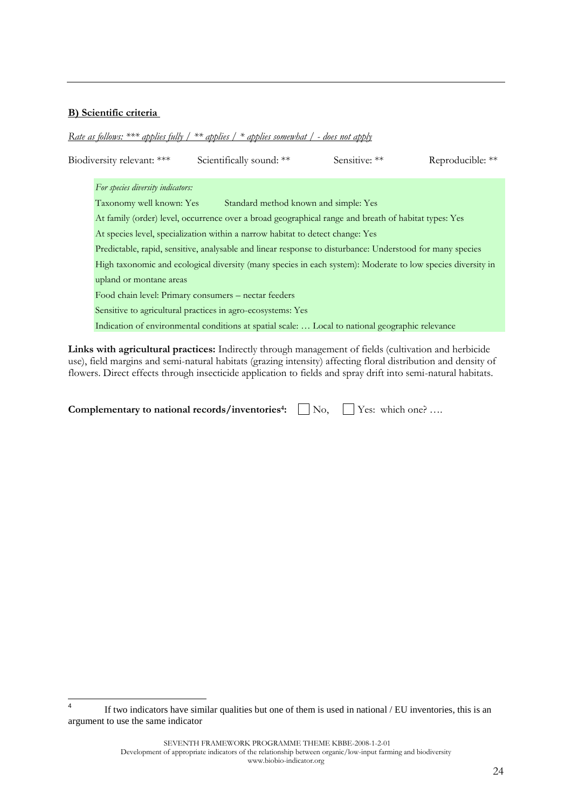#### **B) Scientific criteria**

*Rate as follows: \*\*\* applies fully / \*\* applies / \* applies somewhat / - does not apply* 

| Biodiversity relevant: ***        | Scientifically sound: **                                                                                    | Sensitive: ** | Reproducible: ** |
|-----------------------------------|-------------------------------------------------------------------------------------------------------------|---------------|------------------|
| For species diversity indicators: |                                                                                                             |               |                  |
| Taxonomy well known: Yes          | Standard method known and simple: Yes                                                                       |               |                  |
|                                   | At family (order) level, occurrence over a broad geographical range and breath of habitat types: Yes        |               |                  |
|                                   | At species level, specialization within a narrow habitat to detect change: Yes                              |               |                  |
|                                   | Predictable, rapid, sensitive, analysable and linear response to disturbance: Understood for many species   |               |                  |
|                                   | High taxonomic and ecological diversity (many species in each system): Moderate to low species diversity in |               |                  |
| upland or montane areas           |                                                                                                             |               |                  |
|                                   | Food chain level: Primary consumers – nectar feeders                                                        |               |                  |
|                                   | Sensitive to agricultural practices in agro-ecosystems: Yes                                                 |               |                  |
|                                   | Indication of environmental conditions at spatial scale:  Local to national geographic relevance            |               |                  |
|                                   |                                                                                                             |               |                  |

**Links with agricultural practices:** Indirectly through management of fields (cultivation and herbicide use), field margins and semi-natural habitats (grazing intensity) affecting floral distribution and density of flowers. Direct effects through insecticide application to fields and spray drift into semi-natural habitats.

| Complementary to national records/inventories <sup>4</sup> : $\Box$ No, $\Box$ Yes: which one? |  |  |
|------------------------------------------------------------------------------------------------|--|--|
|------------------------------------------------------------------------------------------------|--|--|

 $\frac{1}{4}$ If two indicators have similar qualities but one of them is used in national / EU inventories, this is an argument to use the same indicator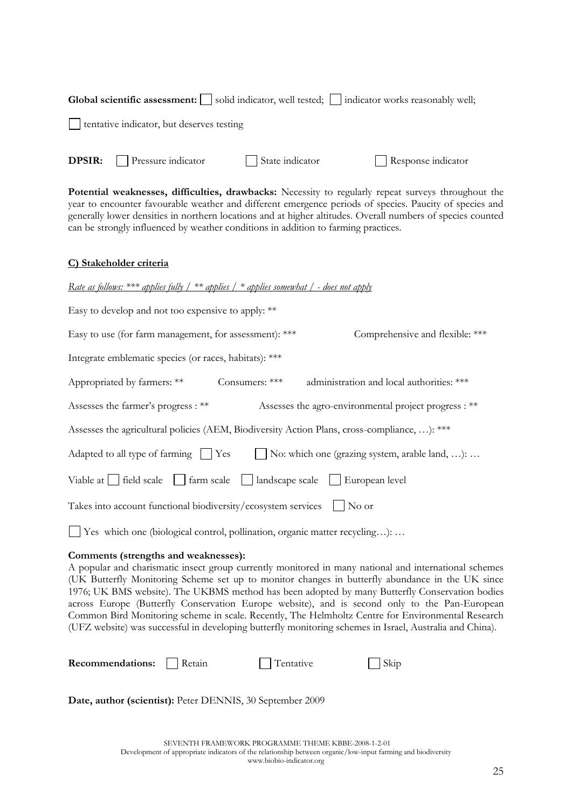| <b>Global scientific assessment:</b> $\Box$ solid indicator, well tested; $\Box$ indicator works reasonably well;                                                                                                                                                                                                                                                                                                                                                                                                                                                                                                                                                     |  |  |  |  |
|-----------------------------------------------------------------------------------------------------------------------------------------------------------------------------------------------------------------------------------------------------------------------------------------------------------------------------------------------------------------------------------------------------------------------------------------------------------------------------------------------------------------------------------------------------------------------------------------------------------------------------------------------------------------------|--|--|--|--|
| tentative indicator, but deserves testing                                                                                                                                                                                                                                                                                                                                                                                                                                                                                                                                                                                                                             |  |  |  |  |
| Pressure indicator<br>State indicator<br><b>DPSIR:</b><br>Response indicator                                                                                                                                                                                                                                                                                                                                                                                                                                                                                                                                                                                          |  |  |  |  |
| Potential weaknesses, difficulties, drawbacks: Necessity to regularly repeat surveys throughout the<br>year to encounter favourable weather and different emergence periods of species. Paucity of species and<br>generally lower densities in northern locations and at higher altitudes. Overall numbers of species counted<br>can be strongly influenced by weather conditions in addition to farming practices.                                                                                                                                                                                                                                                   |  |  |  |  |
| C) Stakeholder criteria                                                                                                                                                                                                                                                                                                                                                                                                                                                                                                                                                                                                                                               |  |  |  |  |
| <u>Rate as follows: *** applies fully / ** applies / * applies somewhat / - does not apply</u>                                                                                                                                                                                                                                                                                                                                                                                                                                                                                                                                                                        |  |  |  |  |
| Easy to develop and not too expensive to apply: **                                                                                                                                                                                                                                                                                                                                                                                                                                                                                                                                                                                                                    |  |  |  |  |
| Easy to use (for farm management, for assessment): ***<br>Comprehensive and flexible: ***                                                                                                                                                                                                                                                                                                                                                                                                                                                                                                                                                                             |  |  |  |  |
| Integrate emblematic species (or races, habitats): ***                                                                                                                                                                                                                                                                                                                                                                                                                                                                                                                                                                                                                |  |  |  |  |
| Appropriated by farmers: **<br>Consumers: ***<br>administration and local authorities: ***                                                                                                                                                                                                                                                                                                                                                                                                                                                                                                                                                                            |  |  |  |  |
| Assesses the farmer's progress : **<br>Assesses the agro-environmental project progress : **                                                                                                                                                                                                                                                                                                                                                                                                                                                                                                                                                                          |  |  |  |  |
| Assesses the agricultural policies (AEM, Biodiversity Action Plans, cross-compliance, ): ***                                                                                                                                                                                                                                                                                                                                                                                                                                                                                                                                                                          |  |  |  |  |
| No: which one (grazing system, arable land, ):<br>Adapted to all type of farming Ses                                                                                                                                                                                                                                                                                                                                                                                                                                                                                                                                                                                  |  |  |  |  |
| Viable at $\vert$ field scale<br>farm scale<br>landscape scale<br>European level                                                                                                                                                                                                                                                                                                                                                                                                                                                                                                                                                                                      |  |  |  |  |
| Takes into account functional biodiversity/ecosystem services<br>No or                                                                                                                                                                                                                                                                                                                                                                                                                                                                                                                                                                                                |  |  |  |  |
| □ Yes which one (biological control, pollination, organic matter recycling):                                                                                                                                                                                                                                                                                                                                                                                                                                                                                                                                                                                          |  |  |  |  |
| Comments (strengths and weaknesses):<br>A popular and charismatic insect group currently monitored in many national and international schemes<br>(UK Butterfly Monitoring Scheme set up to monitor changes in butterfly abundance in the UK since<br>1976; UK BMS website). The UKBMS method has been adopted by many Butterfly Conservation bodies<br>across Europe (Butterfly Conservation Europe website), and is second only to the Pan-European<br>Common Bird Monitoring scheme in scale. Recently, The Helmholtz Centre for Environmental Research<br>(UFZ website) was successful in developing butterfly monitoring schemes in Israel, Australia and China). |  |  |  |  |
| Tentative<br>Recommendations:<br>Retain<br>Skip                                                                                                                                                                                                                                                                                                                                                                                                                                                                                                                                                                                                                       |  |  |  |  |
| Date, author (scientist): Peter DENNIS, 30 September 2009                                                                                                                                                                                                                                                                                                                                                                                                                                                                                                                                                                                                             |  |  |  |  |